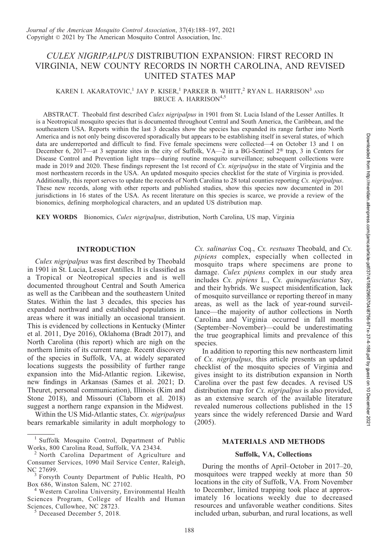# CULEX NIGRIPALPUS DISTRIBUTION EXPANSION: FIRST RECORD IN VIRGINIA, NEW COUNTY RECORDS IN NORTH CAROLINA, AND REVISED UNITED STATES MAP

# KAREN I. AKARATOVIC,<sup>1</sup> JAY P. KISER,<sup>1</sup> PARKER B. WHITT,<sup>2</sup> RYAN L. HARRISON<sup>3</sup> AND BRUCE A. HARRISON<sup>4,5</sup>

ABSTRACT. Theobald first described Culex nigripalpus in 1901 from St. Lucia Island of the Lesser Antilles. It is a Neotropical mosquito species that is documented throughout Central and South America, the Caribbean, and the southeastern USA. Reports within the last 3 decades show the species has expanded its range farther into North America and is not only being discovered sporadically but appears to be establishing itself in several states, of which data are underreported and difficult to find. Five female specimens were collected—4 on October 13 and 1 on December 6, 2017—at 3 separate sites in the city of Suffolk, VA—2 in a BG-Sentinel  $2^{\circledast}$  trap, 3 in Centers for Disease Control and Prevention light traps—during routine mosquito surveillance; subsequent collections were made in 2019 and 2020. These findings represent the 1st record of  $Cx$ . *nigripalpus* in the state of Virginia and the most northeastern records in the USA. An updated mosquito species checklist for the state of Virginia is provided. Additionally, this report serves to update the records of North Carolina to 28 total counties reporting Cx. nigripalpus. These new records, along with other reports and published studies, show this species now documented in 201 jurisdictions in 16 states of the USA. As recent literature on this species is scarce, we provide a review of the bionomics, defining morphological characters, and an updated US distribution map.

KEY WORDS Bionomics, Culex nigripalpus, distribution, North Carolina, US map, Virginia

## INTRODUCTION

Culex nigripalpus was first described by Theobald in 1901 in St. Lucia, Lesser Antilles. It is classified as a Tropical or Neotropical species and is well documented throughout Central and South America as well as the Caribbean and the southeastern United States. Within the last 3 decades, this species has expanded northward and established populations in areas where it was initially an occasional transient. This is evidenced by collections in Kentucky (Minter et al. 2011, Dye 2016), Oklahoma (Bradt 2017), and North Carolina (this report) which are nigh on the northern limits of its current range. Recent discovery of the species in Suffolk, VA, at widely separated locations suggests the possibility of further range expansion into the Mid-Atlantic region. Likewise, new findings in Arkansas (Sames et al. 2021; D. Theuret, personal communication), Illinois (Kim and Stone 2018), and Missouri (Claborn et al. 2018) suggest a northern range expansion in the Midwest.

Within the US Mid-Atlantic states, Cx. nigripalpus bears remarkable similarity in adult morphology to

Cx. salinarius Coq., Cx. restuans Theobald, and Cx. pipiens complex, especially when collected in mosquito traps where specimens are prone to damage. Culex pipiens complex in our study area includes Cx. pipiens L., Cx. quinquefasciatus Say, and their hybrids. We suspect misidentification, lack of mosquito surveillance or reporting thereof in many areas, as well as the lack of year-round surveillance—the majority of author collections in North Carolina and Virginia occurred in fall months (September–November)—could be underestimating the true geographical limits and prevalence of this species.

In addition to reporting this new northeastern limit of Cx. nigripalpus, this article presents an updated checklist of the mosquito species of Virginia and gives insight to its distribution expansion in North Carolina over the past few decades. A revised US distribution map for Cx. nigripalpus is also provided, as an extensive search of the available literature revealed numerous collections published in the 15 years since the widely referenced Darsie and Ward (2005).

## MATERIALS AND METHODS

## Suffolk, VA, Collections

During the months of April–October in 2017–20, mosquitoes were trapped weekly at more than 50 locations in the city of Suffolk, VA. From November to December, limited trapping took place at approximately 16 locations weekly due to decreased resources and unfavorable weather conditions. Sites included urban, suburban, and rural locations, as well

<sup>&</sup>lt;sup>1</sup> Suffolk Mosquito Control, Department of Public Works, 800 Carolina Road, Suffolk, VA 23434.

North Carolina Department of Agriculture and Consumer Services, 1090 Mail Service Center, Raleigh,

 $3$  Forsyth County Department of Public Health, PO Box 686, Winston Salem, NC 27102.

<sup>&</sup>lt;sup>4</sup> Western Carolina University, Environmental Health Sciences Program, College of Health and Human Sciences, Cullowhee, NC 28723.<br><sup>5</sup> Deceased December 5, 2018.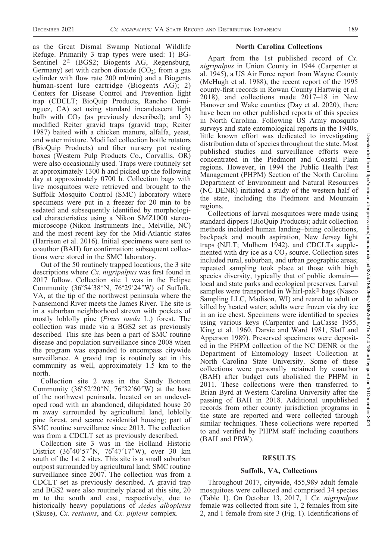Downloaded from http://meridian.allenpress.com/jamca/article-pdf/37/4/188/2965704/i8756-971x-37-4-188.pdf by guest on 10 December Downloaded from http://meridian.allenpress.com/jamca/article-pdf/37/4/188/2965704/i8756-971x-37-4-188.pdf by guest on 10 December 2021

as the Great Dismal Swamp National Wildlife Refuge. Primarily 3 trap types were used: 1) BG-Sentinel 2<sup>®</sup> (BGS2; Biogents AG, Regensburg, Germany) set with carbon dioxide  $(CO<sub>2</sub>)$ ; from a gas cylinder with flow rate 200 ml/min) and a Biogents human-scent lure cartridge (Biogents AG); 2) Centers for Disease Control and Prevention light trap (CDCLT; BioQuip Products, Rancho Dominguez, CA) set using standard incandescent light bulb with  $CO<sub>2</sub>$  (as previously described); and 3) modified Reiter gravid traps (gravid trap; Reiter 1987) baited with a chicken manure, alfalfa, yeast, and water mixture. Modified collection bottle rotators (BioQuip Products) and fiber nursery pot resting boxes (Western Pulp Products Co., Corvallis, OR) were also occasionally used. Traps were routinely set at approximately 1300 h and picked up the following day at approximately 0700 h. Collection bags with live mosquitoes were retrieved and brought to the Suffolk Mosquito Control (SMC) laboratory where specimens were put in a freezer for 20 min to be sedated and subsequently identified by morphological characteristics using a Nikon SMZ1000 stereomicroscope (Nikon Instruments Inc., Melville, NC) and the most recent key for the Mid-Atlantic states (Harrison et al. 2016). Initial specimens were sent to coauthor (BAH) for confirmation; subsequent collections were stored in the SMC laboratory.

Out of the 50 routinely trapped locations, the 3 site descriptions where *Cx. nigripalpus* was first found in 2017 follow. Collection site 1 was in the Eclipse Community (36°54'38"N, 76°29'24"W) of Suffolk, VA, at the tip of the northwest peninsula where the Nansemond River meets the James River. The site is in a suburban neighborhood strewn with pockets of mostly loblolly pine (Pinus taeda L.) forest. The collection was made via a BGS2 set as previously described. This site has been a part of SMC routine disease and population surveillance since 2008 when the program was expanded to encompass citywide surveillance. A gravid trap is routinely set in this community as well, approximately 1.5 km to the north.

Collection site 2 was in the Sandy Bottom Community  $(36^{\circ}52'20''N, 76^{\circ}32'60''W)$  at the base of the northwest peninsula, located on an undeveloped road with an abandoned, dilapidated house 20 m away surrounded by agricultural land, loblolly pine forest, and scarce residential housing; part of SMC routine surveillance since 2013. The collection was from a CDCLT set as previously described.

Collection site 3 was in the Holland Historic District (36°40'57"N, 76°47'17"W), over 30 km south of the 1st 2 sites. This site is a small suburban outpost surrounded by agricultural land; SMC routine surveillance since 2007. The collection was from a CDCLT set as previously described. A gravid trap and BGS2 were also routinely placed at this site, 20 m to the south and east, respectively, due to historically heavy populations of *Aedes albopictus* (Skuse), Cx. restuans, and Cx. pipiens complex.

#### North Carolina Collections

Apart from the 1st published record of Cx. nigripalpus in Union County in 1944 (Carpenter et al. 1945), a US Air Force report from Wayne County (McHugh et al. 1988), the recent report of the 1995 county-first records in Rowan County (Hartwig et al. 2018), and collections made 2017–18 in New Hanover and Wake counties (Day et al. 2020), there have been no other published reports of this species in North Carolina. Following US Army mosquito surveys and state entomological reports in the 1940s, little known effort was dedicated to investigating distribution data of species throughout the state. Most published studies and surveillance efforts were concentrated in the Piedmont and Coastal Plain regions. However, in 1994 the Public Health Pest Management (PHPM) Section of the North Carolina Department of Environment and Natural Resources (NC DENR) initiated a study of the western half of the state, including the Piedmont and Mountain regions.

Collections of larval mosquitoes were made using standard dippers (BioQuip Products); adult collection methods included human landing–biting collections, backpack and mouth aspiration, New Jersey light traps (NJLT; Mulhern 1942), and CDCLTs supplemented with dry ice as a  $CO<sub>2</sub>$  source. Collection sites included rural, suburban, and urban geographic areas; repeated sampling took place at those with high species diversity, typically that of public domain local and state parks and ecological preserves. Larval samples were transported in Whirl-pak® bags (Nasco Sampling LLC, Madison, WI) and reared to adult or killed by heated water; adults were frozen via dry ice in an ice chest. Specimens were identified to species using various keys (Carpenter and LaCasse 1955, King et al. 1960, Darsie and Ward 1981, Slaff and Apperson 1989). Preserved specimens were deposited in the PHPM collection of the NC DENR or the Department of Entomology Insect Collection at North Carolina State University. Some of these collections were personally retained by coauthor (BAH) after budget cuts abolished the PHPM in 2011. These collections were then transferred to Brian Byrd at Western Carolina University after the passing of BAH in 2018. Additional unpublished records from other county jurisdiction programs in the state are reported and were collected through similar techniques. These collections were reported to and verified by PHPM staff including coauthors (BAH and PBW).

#### RESULTS

#### Suffolk, VA, Collections

Throughout 2017, citywide, 455,989 adult female mosquitoes were collected and comprised 34 species (Table 1). On October 13, 2017, 1 Cx. nigripalpus female was collected from site 1, 2 females from site 2, and 1 female from site 3 (Fig. 1). Identifications of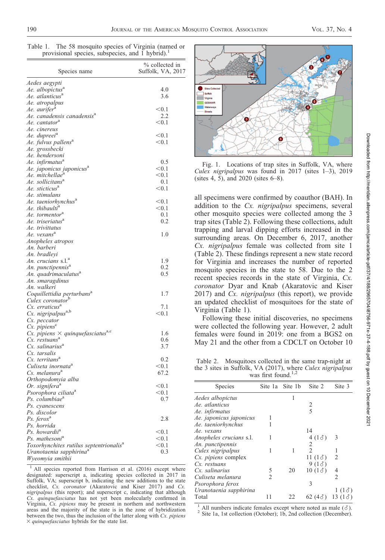| Table 1. | The 58 mosquito species of Virginia (named or   |  |  |
|----------|-------------------------------------------------|--|--|
|          | provisional species, subspecies, and 1 hybrid). |  |  |

| Species name                                               | % collected in<br>Suffolk, VA, 2017 |
|------------------------------------------------------------|-------------------------------------|
| Aedes aegypti                                              |                                     |
| Ae. albopictus <sup>a</sup>                                | 4.0                                 |
| Ae. atlanticus <sup>a</sup>                                | 3.6                                 |
| Ae. atropalpus                                             |                                     |
| Ae. aurifer <sup>a</sup>                                   | < 0.1                               |
| Ae. canadensis canadensis <sup>a</sup>                     | 2.2                                 |
| Ae. cantator <sup>a</sup>                                  | < 0.1                               |
| Ae. cinereus                                               |                                     |
| Ae. dupreei <sup>a</sup>                                   | < 0.1                               |
| Ae. fulvus pallens <sup>a</sup>                            | < 0.1                               |
| Ae. grossbecki<br>Ae. hendersoni                           |                                     |
| Ae. infirmatus <sup>a</sup>                                | 0.5                                 |
| Ae. japonicus japonicus <sup>a</sup>                       | < 0.1                               |
| Ae. mitchellae <sup>a</sup>                                | < 0.1                               |
| Ae. sollicitans <sup>a</sup>                               | 0.1                                 |
| Ae. sticticus <sup>a</sup>                                 | $<$ 0.1                             |
| Ae. stimulans                                              |                                     |
| Ae. taeniorhynchus <sup>a</sup>                            | < 0.1                               |
| Ae. thibaulti <sup>a</sup>                                 | < 0.1                               |
| Ae. tormentor <sup>a</sup>                                 | 0.1                                 |
| Ae. triseriatus <sup>a</sup>                               | 0.2                                 |
| Ae. trivittatus                                            |                                     |
| Ae. vexans <sup>a</sup>                                    | 1.0                                 |
| Anopheles atropos                                          |                                     |
| An. barberi                                                |                                     |
| An. bradleyi                                               |                                     |
| An. crucians s.l. <sup>a</sup>                             | 1.9                                 |
| An. punctipennis <sup>a</sup>                              | 0.2                                 |
| An. quadrimaculatus <sup>a</sup>                           | 0.5                                 |
| An. smaragdinus                                            |                                     |
| An. walkeri                                                |                                     |
| Coquillettidia perturbans <sup>a</sup>                     | 1.7                                 |
| Culex coronator <sup>b</sup><br>Cx. erraticus <sup>a</sup> | 7.1                                 |
| Cx. nigripalpus <sup>a,b</sup>                             | < 0.1                               |
| Cx. peccator                                               |                                     |
| $Cx.$ pipiens $\mathcal C$                                 |                                     |
| Cx. pipiens $\times$ quinquefasciatus <sup>a,c</sup>       | 1.6                                 |
| Cx. restuans <sup>a</sup>                                  | 0.6                                 |
| Cx. salinarius <sup>a</sup>                                | 3.7                                 |
| Cx. tarsalis                                               |                                     |
| Cx. territans <sup>a</sup>                                 | 0.2                                 |
| Culiseta inornata <sup>a</sup>                             | < 0.1                               |
| Cs. melanura <sup>a</sup>                                  | 67.2                                |
| Orthopodomyia alba                                         |                                     |
| Or. signifera <sup>a</sup>                                 | < 0.1                               |
| Psorophora ciliata <sup>a</sup>                            | $<$ 0.1                             |
| Ps. columbiae <sup>a</sup>                                 | 0.7                                 |
| Ps. cyanescens                                             |                                     |
| Ps. discolor                                               |                                     |
| Ps. ferox <sup>a</sup>                                     | 2.8                                 |
| Ps. horrida                                                |                                     |
| Ps. howardii <sup>a</sup>                                  | < 0.1                               |
| Ps. mathesoni <sup>a</sup>                                 | < 0.1                               |
| Toxorhynchites rutilus septentrionalis <sup>a</sup>        | < 0.1<br>0.3                        |
| Uranotaenia sapphirina <sup>a</sup><br>Wyeomyia smithii    |                                     |
|                                                            |                                     |

 $<sup>1</sup>$  All species reported from Harrison et al. (2016) except where</sup> designated: superscript a, indicating species collected in 2017 in Suffolk, VA; superscript b, indicating the new additions to the state checklist, Cx. coronator (Akaratovic and Kiser 2017) and Cx. nigripalpus (this report); and superscript c, indicating that although Cx. quinquefasciatus has not yet been molecularly confirmed in Virginia, Cx. pipiens may be present in northern and northwestern areas and the majority of the state is in the zone of hybridization between the two, thus the inclusion of the latter along with Cx. pipiens  $\times$  quinquefasciatus hybrids for the state list.



Fig. 1. Locations of trap sites in Suffolk, VA, where Culex nigripalpus was found in  $2017$  (sites 1-3), 2019 (sites 4, 5), and 2020 (sites 6–8).

all specimens were confirmed by coauthor (BAH). In addition to the Cx. nigripalpus specimens, several other mosquito species were collected among the 3 trap sites (Table 2). Following these collections, adult trapping and larval dipping efforts increased in the surrounding areas. On December 6, 2017, another Cx. nigripalpus female was collected from site 1 (Table 2). These findings represent a new state record for Virginia and increases the number of reported mosquito species in the state to 58. Due to the 2 recent species records in the state of Virginia, Cx. coronator Dyar and Knab (Akaratovic and Kiser 2017) and Cx. nigripalpus (this report), we provide an updated checklist of mosquitoes for the state of Virginia (Table 1).

Following these initial discoveries, no specimens were collected the following year. However, 2 adult females were found in 2019: one from a BGS2 on May 21 and the other from a CDCLT on October 10

Table 2. Mosquitoes collected in the same trap-night at the 3 sites in Suffolk, VA (2017), where Culex nigripalpus was first found.<sup>1,2</sup>

| Species                 | Site 1a        | Site 1b | Site 2                   | Site 3         |
|-------------------------|----------------|---------|--------------------------|----------------|
| Aedes albopictus        |                |         |                          |                |
| Ae. atlanticus          |                |         | 2                        |                |
| Ae. infirmatus          |                |         | $\overline{\phantom{0}}$ |                |
| Ae. japonicus japonicus |                |         |                          |                |
| Ae. taeniorhynchus      |                |         |                          |                |
| Ae. vexans              |                |         | 14                       |                |
| Anopheles crucians s.l. |                |         | 4(13)                    | 3              |
| An. punctipennis        |                |         | 2                        |                |
| Culex nigripalpus       |                | 1       | $\mathfrak{D}$           |                |
| Cx. pipiens complex     |                |         | 11 $(1\delta)$           | $\mathfrak{D}$ |
| Cx. restuans            |                |         | $9(1\delta)$             |                |
| Cx. salinarius          | 5              | 20      | 10(13)                   | 4              |
| Culiseta melanura       | $\overline{c}$ |         |                          | $\mathfrak{D}$ |
| Psorophora ferox        |                |         | 3                        |                |
| Uranotaenia sapphirina  |                |         |                          | 1 (13)         |
| Total                   | 11             | 22      | 62 $(4\delta)$           | 13 $(1\delta)$ |

<sup>1</sup> All numbers indicate females except where noted as male  $(3)$ .<br><sup>2</sup> Site 1a, 1st collection (October); 1b, 2nd collection (December).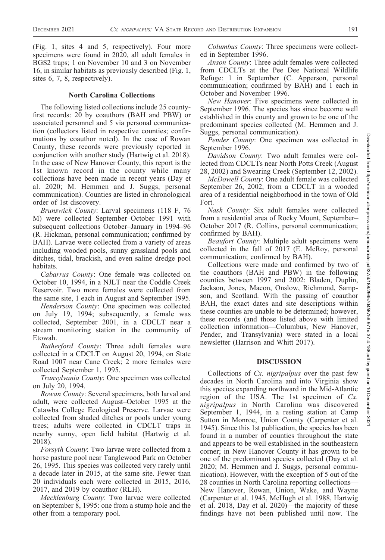(Fig. 1, sites 4 and 5, respectively). Four more specimens were found in 2020, all adult females in BGS2 traps; 1 on November 10 and 3 on November 16, in similar habitats as previously described (Fig. 1, sites 6, 7, 8, respectively).

#### North Carolina Collections

The following listed collections include 25 countyfirst records: 20 by coauthors (BAH and PBW) or associated personnel and 5 via personal communication (collectors listed in respective counties; confirmations by coauthor noted). In the case of Rowan County, these records were previously reported in conjunction with another study (Hartwig et al. 2018). In the case of New Hanover County, this report is the 1st known record in the county while many collections have been made in recent years (Day et al. 2020; M. Hemmen and J. Suggs, personal communication). Counties are listed in chronological order of 1st discovery.

Brunswick County: Larval specimens (118 F, 76 M) were collected September–October 1991 with subsequent collections October–January in 1994–96 (R. Hickman, personal communication; confirmed by BAH). Larvae were collected from a variety of areas including wooded pools, sunny grassland pools and ditches, tidal, brackish, and even saline dredge pool habitats.

Cabarrus County: One female was collected on October 10, 1994, in a NJLT near the Coddle Creek Reservoir. Two more females were collected from the same site, 1 each in August and September 1995.

Henderson County: One specimen was collected on July 19, 1994; subsequently, a female was collected, September 2001, in a CDCLT near a stream monitoring station in the community of Etowah.

Rutherford County: Three adult females were collected in a CDCLT on August 20, 1994, on State Road 1007 near Cane Creek; 2 more females were collected September 1, 1995.

Transylvania County: One specimen was collected on July 20, 1994.

Rowan County: Several specimens, both larval and adult, were collected August–October 1995 at the Catawba College Ecological Preserve. Larvae were collected from shaded ditches or pools under young trees; adults were collected in CDCLT traps in nearby sunny, open field habitat (Hartwig et al. 2018).

Forsyth County: Two larvae were collected from a horse pasture pool near Tanglewood Park on October 26, 1995. This species was collected very rarely until a decade later in 2015, at the same site. Fewer than 20 individuals each were collected in 2015, 2016, 2017, and 2019 by coauthor (RLH).

Mecklenburg County: Two larvae were collected on September 8, 1995: one from a stump hole and the other from a temporary pool.

Columbus County: Three specimens were collected in September 1996.

Anson County: Three adult females were collected from CDCLTs at the Pee Dee National Wildlife Refuge: 1 in September (C. Apperson, personal communication; confirmed by BAH) and 1 each in October and November 1996.

New Hanover: Five specimens were collected in September 1996. The species has since become well established in this county and grown to be one of the predominant species collected (M. Hemmen and J. Suggs, personal communication).

Pender County: One specimen was collected in September 1996.

Davidson County: Two adult females were collected from CDCLTs near North Potts Creek (August 28, 2002) and Swearing Creek (September 12, 2002).

McDowell County: One adult female was collected September 26, 2002, from a CDCLT in a wooded area of a residential neighborhood in the town of Old Fort.

Nash County: Six adult females were collected from a residential area of Rocky Mount, September– October 2017 (R. Collins, personal communication; confirmed by BAH).

Beaufort County: Multiple adult specimens were collected in the fall of  $2017$  (E. McRoy, personal communication; confirmed by BAH).

Collections were made and confirmed by two of the coauthors (BAH and PBW) in the following counties between 1997 and 2002: Bladen, Duplin, Jackson, Jones, Macon, Onslow, Richmond, Sampson, and Scotland. With the passing of coauthor BAH, the exact dates and site descriptions within these counties are unable to be determined; however, these records (and those listed above with limited collection information—Columbus, New Hanover, Pender, and Transylvania) were stated in a local newsletter (Harrison and Whitt 2017).

#### **DISCUSSION**

Collections of Cx. nigripalpus over the past few decades in North Carolina and into Virginia show this species expanding northward in the Mid-Atlantic region of the USA. The 1st specimen of  $Cx$ . nigripalpus in North Carolina was discovered September 1, 1944, in a resting station at Camp Sutton in Monroe, Union County (Carpenter et al. 1945). Since this 1st publication, the species has been found in a number of counties throughout the state and appears to be well established in the southeastern corner; in New Hanover County it has grown to be one of the predominant species collected (Day et al. 2020; M. Hemmen and J. Suggs, personal communication). However, with the exception of 5 out of the 28 counties in North Carolina reporting collections— New Hanover, Rowan, Union, Wake, and Wayne (Carpenter et al. 1945, McHugh et al. 1988, Hartwig et al. 2018, Day et al. 2020)—the majority of these findings have not been published until now. The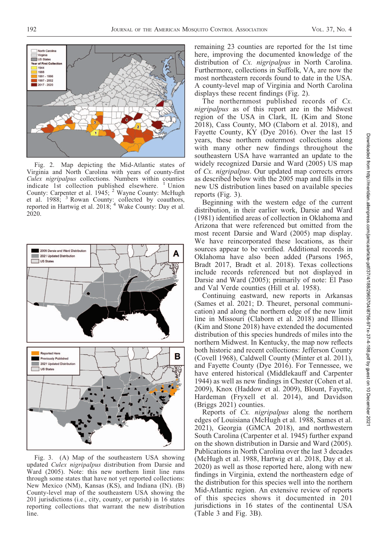

Fig. 2. Map depicting the Mid-Atlantic states of Virginia and North Carolina with years of county-first Culex nigripalpus collections. Numbers within counties indicate 1st collection published elsewhere.  $1$  Union indicate 1st collection published elsewhere. County: Carpenter et al. 1945; <sup>2</sup> Wayne County: McHugh et al. 1988; <sup>3</sup> Rowan County: collected by coauthors, reported in Hartwig et al. 2018; <sup>4</sup> Wake County: Day et al. 2020.



Fig. 3. (A) Map of the southeastern USA showing updated Culex nigripalpus distribution from Darsie and Ward (2005). Note: this new northern limit line runs through some states that have not yet reported collections: New Mexico (NM), Kansas (KS), and Indiana (IN). (B) County-level map of the southeastern USA showing the 201 jurisdictions (i.e., city, county, or parish) in 16 states reporting collections that warrant the new distribution line.

remaining 23 counties are reported for the 1st time here, improving the documented knowledge of the distribution of Cx. *nigripalpus* in North Carolina. Furthermore, collections in Suffolk, VA, are now the most northeastern records found to date in the USA. A county-level map of Virginia and North Carolina displays these recent findings (Fig. 2).

The northernmost published records of Cx. nigripalpus as of this report are in the Midwest region of the USA in Clark, IL (Kim and Stone 2018), Cass County, MO (Claborn et al. 2018), and Fayette County, KY (Dye 2016). Over the last 15 years, these northern outermost collections along with many other new findings throughout the southeastern USA have warranted an update to the widely recognized Darsie and Ward (2005) US map of Cx. nigripalpus. Our updated map corrects errors as described below with the 2005 map and fills in the new US distribution lines based on available species reports (Fig. 3).

Beginning with the western edge of the current distribution, in their earlier work, Darsie and Ward (1981) identified areas of collection in Oklahoma and Arizona that were referenced but omitted from the most recent Darsie and Ward (2005) map display. We have reincorporated these locations, as their sources appear to be verified. Additional records in Oklahoma have also been added (Parsons 1965, Bradt 2017, Bradt et al. 2018). Texas collections include records referenced but not displayed in Darsie and Ward (2005); primarily of note: El Paso and Val Verde counties (Hill et al. 1958).

Continuing eastward, new reports in Arkansas (Sames et al. 2021; D. Theuret, personal communication) and along the northern edge of the new limit line in Missouri (Claborn et al. 2018) and Illinois (Kim and Stone 2018) have extended the documented distribution of this species hundreds of miles into the northern Midwest. In Kentucky, the map now reflects both historic and recent collections: Jefferson County (Covell 1968), Caldwell County (Minter et al. 2011), and Fayette County (Dye 2016). For Tennessee, we have entered historical (Middlekauff and Carpenter 1944) as well as new findings in Chester (Cohen et al. 2009), Knox (Haddow et al. 2009), Blount, Fayette, Hardeman (Fryxell et al. 2014), and Davidson (Briggs 2021) counties.

Reports of Cx. *nigripalpus* along the northern edges of Louisiana (McHugh et al. 1988, Sames et al. 2021), Georgia (GMCA 2018), and northwestern South Carolina (Carpenter et al. 1945) further expand on the shown distribution in Darsie and Ward (2005). Publications in North Carolina over the last 3 decades (McHugh et al. 1988, Hartwig et al. 2018, Day et al. 2020) as well as those reported here, along with new findings in Virginia, extend the northeastern edge of the distribution for this species well into the northern Mid-Atlantic region. An extensive review of reports of this species shows it documented in 201 jurisdictions in 16 states of the continental USA (Table 3 and Fig. 3B).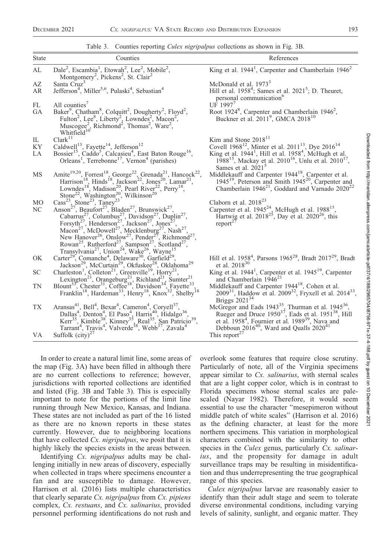Table 3. Counties reporting *Culex nigripalpus* collections as shown in Fig. 3B.

| State           | Counties                                                                                                                                                                                                                                                                                                                                                                                                                                                                                                                                                                                                                                                                                                                                                                                                              | References                                                                                                                                                                                                                                                                                 |
|-----------------|-----------------------------------------------------------------------------------------------------------------------------------------------------------------------------------------------------------------------------------------------------------------------------------------------------------------------------------------------------------------------------------------------------------------------------------------------------------------------------------------------------------------------------------------------------------------------------------------------------------------------------------------------------------------------------------------------------------------------------------------------------------------------------------------------------------------------|--------------------------------------------------------------------------------------------------------------------------------------------------------------------------------------------------------------------------------------------------------------------------------------------|
| AL              | Dale <sup>2</sup> , Escambia <sup>1</sup> , Etowah <sup>2</sup> , Lee <sup>2</sup> , Mobile <sup>2</sup> ,<br>Montgomery <sup>2</sup> , Pickens <sup>2</sup> , St. Clair <sup>2</sup>                                                                                                                                                                                                                                                                                                                                                                                                                                                                                                                                                                                                                                 | King et al. $19441$ , Carpenter and Chamberlain $19462$                                                                                                                                                                                                                                    |
| AZ<br>AR        | Santa Cruz <sup>3</sup><br>Jefferson <sup>4</sup> , Miller <sup>5,6</sup> , Pulaski <sup>4</sup> , Sebastian <sup>4</sup>                                                                                                                                                                                                                                                                                                                                                                                                                                                                                                                                                                                                                                                                                             | McDonald et al. 1973 <sup>3</sup><br>Hill et al. $1958^4$ ; Sames et al. $2021^5$ ; D. Theuret,<br>personal communication <sup>6</sup>                                                                                                                                                     |
| FL<br><b>GA</b> | All counties'<br>Baker <sup>9</sup> , Chatham <sup>8</sup> , Colquitt <sup>2</sup> , Dougherty <sup>2</sup> , Floyd <sup>2</sup> ,<br>Fulton <sup>2</sup> , Lee <sup>8</sup> , Liberty <sup>2</sup> , Lowndes <sup>2</sup> , Macon <sup>2</sup> ,<br>Muscogee <sup>2</sup> , Richmond <sup>2</sup> , Thomas <sup>2</sup> , Ware <sup>2</sup> ,<br>Whitfield <sup>10</sup>                                                                                                                                                                                                                                                                                                                                                                                                                                             | UF $1997^7$<br>Root 1924 <sup>8</sup> , Carpenter and Chamberlain 1946 <sup>2</sup> ,<br>Buckner et al. 2011 <sup>9</sup> , GMCA 2018 <sup>10</sup>                                                                                                                                        |
| IL              | Clark <sup>11</sup>                                                                                                                                                                                                                                                                                                                                                                                                                                                                                                                                                                                                                                                                                                                                                                                                   | Kim and Stone $2018^{11}$                                                                                                                                                                                                                                                                  |
| KY<br>LA        | Caldwell <sup>13</sup> , Fayette <sup>14</sup> , Jefferson <sup>12</sup><br>Bossier <sup>15</sup> , Caddo <sup>5</sup> , Calcasieu <sup>4</sup> , East Baton Rouge <sup>16</sup> , Orleans <sup>1</sup> , Terrebonne <sup>17</sup> , Vernon <sup>4</sup> (parishes)                                                                                                                                                                                                                                                                                                                                                                                                                                                                                                                                                   | Covell 1968 <sup>12</sup> , Minter et al. 2011 <sup>13</sup> , Dye 2016 <sup>14</sup><br>King et al. 1944 <sup>1</sup> , Hill et al. 1958 <sup>4</sup> , McHugh et al.<br>1988 <sup>15</sup> , Mackay et al. 2010 <sup>16</sup> , Unlu et al. 2010 <sup>17</sup> ,<br>Sames et al. $20215$ |
| MS              | Amite <sup>19,20</sup> , Forrest <sup>18</sup> , George <sup>22</sup> , Grenada <sup>21</sup> , Hancock <sup>22</sup> ,<br>Harrison <sup>18</sup> , Hinds <sup>18</sup> , Jackson <sup>22</sup> , Jones <sup>20</sup> , Lamar <sup>21</sup> ,<br>Lowndes <sup>18</sup> , Madison <sup>20</sup> , Pearl River <sup>22</sup> , Perry <sup>18</sup> ,<br>Stone <sup>22</sup> , Washington <sup>20</sup> , Wilkinson <sup>20</sup> ,                                                                                                                                                                                                                                                                                                                                                                                      | Middlekauff and Carpenter 1944 <sup>18</sup> , Carpenter et al.<br>1945 <sup>19</sup> , Peterson and Smith 1945 <sup>20</sup> , Carpenter and<br>Chamberlain $1946^{21}$ , Goddard and Varnado $2020^{22}$                                                                                 |
| M <sub>O</sub>  |                                                                                                                                                                                                                                                                                                                                                                                                                                                                                                                                                                                                                                                                                                                                                                                                                       | Claborn et al. $2018^{23}$                                                                                                                                                                                                                                                                 |
| NC              | Anson <sup>27</sup> , Beaufort <sup>27</sup> , Bladen <sup>27</sup> , Brunswick <sup>27</sup> ,<br>Cabarrus <sup>27</sup> , Columbus <sup>27</sup> , Davidson <sup>27</sup> , Duplin <sup>27</sup> ,<br>Forsyth <sup>27</sup> , Henderson <sup>27</sup> , Jackson <sup>27</sup> , Jones <sup>27</sup> ,<br>Macon <sup>27</sup> , McDowell <sup>27</sup> , Mecklenburg <sup>27</sup> , Nash <sup>27</sup> ,<br>New Hanover <sup>26</sup> , Onslow <sup>27</sup> , Pender <sup>27</sup> , Richmond <sup>27</sup> ,<br>Rowan <sup>25</sup> , Rutherford <sup>27</sup> , Sampson <sup>27</sup> , Scotland <sup>27</sup> , Transylvania <sup>27</sup> , Union <sup>24</sup> , Wake <sup>26</sup> , Wayne <sup>15</sup><br>Carter <sup>29</sup> , Comanche <sup>4</sup> , Delaware <sup>30</sup> , Garfield <sup>29</sup> , | Carpenter et al. $1945^{24}$ , McHugh et al. $1988^{15}$ ,<br>Hartwig et al. $2018^{25}$ , Day et al. $2020^{26}$ , this<br>report <sup>27</sup>                                                                                                                                           |
| OK              | Jackson <sup>29</sup> , McCurtain <sup>29</sup> , Okfuskee <sup>28</sup> , Oklahoma <sup>29</sup>                                                                                                                                                                                                                                                                                                                                                                                                                                                                                                                                                                                                                                                                                                                     | Hill et al. 1958 <sup>4</sup> , Parsons 1965 <sup>28</sup> , Bradt 2017 <sup>29</sup> , Bradt<br>et al. $2018^{30}$                                                                                                                                                                        |
| <b>SC</b>       | Charleston <sup>1</sup> , Colleton <sup>21</sup> , Greenville <sup>19</sup> , Horry <sup>21</sup> ,                                                                                                                                                                                                                                                                                                                                                                                                                                                                                                                                                                                                                                                                                                                   | King et al. 1944 <sup>1</sup> , Carpenter et al. 1945 <sup>19</sup> , Carpenter<br>and Chamberlain 1946 <sup>21</sup>                                                                                                                                                                      |
| TN              | Lexington <sup>21</sup> , Orangeburg <sup>21</sup> , Richland <sup>21</sup> , Sunter <sup>21</sup><br>Blount <sup>33</sup> , Chester <sup>31</sup> , Coffee <sup>18</sup> , Davidson <sup>34</sup> , Fayette <sup>33</sup> , Franklin <sup>18</sup> , Hardeman <sup>33</sup> , Henry <sup>18</sup> , Knox <sup>32</sup> , Shelby <sup>18</sup>                                                                                                                                                                                                                                                                                                                                                                                                                                                                        | Middlekauff and Carpenter $1944^{18}$ , Cohen et al.<br>2009 <sup>31</sup> , Haddow et al. 2009 <sup>32</sup> , Fryxell et al. 2014 <sup>33</sup> ,<br>Briggs $2021^{34}$                                                                                                                  |
| TX              | Aransas <sup>41</sup> , Bell <sup>4</sup> , Bexar <sup>4</sup> , Cameron <sup>4</sup> , Coryell <sup>37</sup> , Dallas <sup>4</sup> , Denton <sup>4</sup> , El Paso <sup>4</sup> , Harris <sup>40</sup> , Hidalgo <sup>36</sup> , Kerr <sup>35</sup> , Kimble <sup>38</sup> , Kinney <sup>33</sup> , Real <sup>35</sup> , San Patricio <sup>39</sup> , Tarrant <sup>4</sup> , Travis <sup>4</sup> , Valverde <sup>38</sup> , Webb <sup>37</sup>                                                                                                                                                                                                                                                                                                                                                                       | McGregor and Eads 1943 <sup>35</sup> , Thurman et al. 1945 <sup>36</sup> ,<br>Rueger and Druce $1950^{37}$ , Eads et al. $1951^{38}$ , Hill<br>et al. $19584$ , Fournier et al. $198939$ , Nava and<br>Debboun 2016 <sup>40</sup> , Ward and Qualls 2020 <sup>41</sup>                     |
| VA.             | Suffolk $\text{(city)}^{27}$                                                                                                                                                                                                                                                                                                                                                                                                                                                                                                                                                                                                                                                                                                                                                                                          | This report <sup>27</sup>                                                                                                                                                                                                                                                                  |

In order to create a natural limit line, some areas of the map (Fig. 3A) have been filled in although there are no current collections to reference; however, jurisdictions with reported collections are identified and listed (Fig. 3B and Table 3). This is especially important to note for the portions of the limit line running through New Mexico, Kansas, and Indiana. These states are not included as part of the 16 listed as there are no known reports in these states currently. However, due to neighboring locations that have collected Cx. nigripalpus, we posit that it is highly likely the species exists in the areas between.

Identifying Cx. *nigripalpus* adults may be challenging initially in new areas of discovery, especially when collected in traps where specimens encounter a fan and are susceptible to damage. However, Harrison et al. (2016) lists multiple characteristics that clearly separate  $Cx$ . nigripalpus from  $Cx$ . pipiens complex, Cx. restuans, and Cx. salinarius, provided personnel performing identifications do not rush and overlook some features that require close scrutiny. Particularly of note, all of the Virginia specimens appear similar to Cx. salinarius, with sternal scales that are a light copper color, which is in contrast to Florida specimens whose sternal scales are palescaled (Nayar 1982). Therefore, it would seem essential to use the character ''mesepimeron without middle patch of white scales'' (Harrison et al. 2016) as the defining character, at least for the more northern specimens. This variation in morphological characters combined with the similarity to other species in the *Culex* genus, particularly *Cx. salinar*ius, and the propensity for damage in adult surveillance traps may be resulting in misidentification and thus underrepresenting the true geographical range of this species.

Culex nigripalpus larvae are reasonably easier to identify than their adult stage and seem to tolerate diverse environmental conditions, including varying levels of salinity, sunlight, and organic matter. They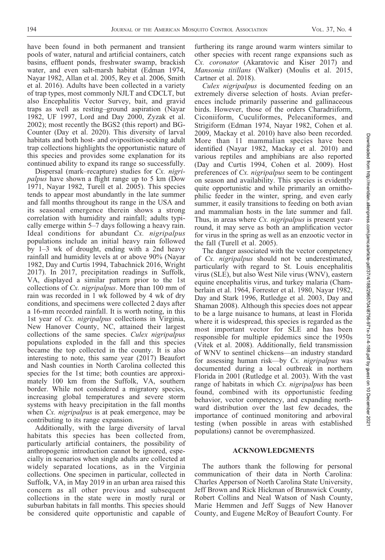have been found in both permanent and transient pools of water, natural and artificial containers, catch basins, effluent ponds, freshwater swamp, brackish water, and even salt-marsh habitat (Edman 1974, Nayar 1982, Allan et al. 2005, Rey et al. 2006, Smith et al. 2016). Adults have been collected in a variety of trap types, most commonly NJLT and CDCLT, but also Encephalitis Vector Survey, bait, and gravid traps as well as resting–ground aspiration (Nayar 1982, UF 1997, Lord and Day 2000, Zyzak et al. 2002); most recently the BGS2 (this report) and BG-Counter (Day et al. 2020). This diversity of larval habitats and both host- and oviposition-seeking adult trap collections highlights the opportunistic nature of this species and provides some explanation for its continued ability to expand its range so successfully.

Dispersal (mark–recapture) studies for Cx. nigripalpus have shown a flight range up to 5 km (Dow 1971, Nayar 1982, Turell et al. 2005). This species tends to appear most abundantly in the late summer and fall months throughout its range in the USA and its seasonal emergence therein shows a strong correlation with humidity and rainfall; adults typically emerge within 5–7 days following a heavy rain. Ideal conditions for abundant Cx. nigripalpus populations include an initial heavy rain followed by 1–3 wk of drought, ending with a 2nd heavy rainfall and humidity levels at or above 90% (Nayar 1982, Day and Curtis 1994, Tabachnick 2016, Wright 2017). In 2017, precipitation readings in Suffolk, VA, displayed a similar pattern prior to the 1st collections of Cx. nigripalpus. More than 100 mm of rain was recorded in 1 wk followed by 4 wk of dry conditions, and specimens were collected 2 days after a 16-mm recorded rainfall. It is worth noting, in this 1st year of Cx. nigripalpus collections in Virginia, New Hanover County, NC, attained their largest collections of the same species. Culex nigripalpus populations exploded in the fall and this species became the top collected in the county. It is also interesting to note, this same year (2017) Beaufort and Nash counties in North Carolina collected this species for the 1st time; both counties are approximately 100 km from the Suffolk, VA, southern border. While not considered a migratory species, increasing global temperatures and severe storm systems with heavy precipitation in the fall months when Cx. nigripalpus is at peak emergence, may be contributing to its range expansion.

Additionally, with the large diversity of larval habitats this species has been collected from, particularly artificial containers, the possibility of anthropogenic introduction cannot be ignored, especially in scenarios when single adults are collected at widely separated locations, as in the Virginia collections. One specimen in particular, collected in Suffolk, VA, in May 2019 in an urban area raised this concern as all other previous and subsequent collections in the state were in mostly rural or suburban habitats in fall months. This species should be considered quite opportunistic and capable of furthering its range around warm winters similar to other species with recent range expansions such as Cx. coronator (Akaratovic and Kiser 2017) and Mansonia titillans (Walker) (Moulis et al. 2015, Cartner et al. 2018).

Culex nigripalpus is documented feeding on an extremely diverse selection of hosts. Avian preferences include primarily passerine and gallinaceous birds. However, those of the orders Charadriiform, Ciconiiform, Cuculiformes, Pelecaniformes, and Strigiform (Edman 1974, Nayar 1982, Cohen et al. 2009, Mackay et al. 2010) have also been recorded. More than 11 mammalian species have been identified (Nayar 1982, Mackay et al. 2010) and various reptiles and amphibians are also reported (Day and Curtis 1994, Cohen et al. 2009). Host preferences of Cx. *nigripalpus* seem to be contingent on season and availability. This species is evidently quite opportunistic and while primarily an ornithophilic feeder in the winter, spring, and even early summer, it easily transitions to feeding on both avian and mammalian hosts in the late summer and fall. Thus, in areas where *Cx. nigripalpus* is present yearround, it may serve as both an amplification vector for virus in the spring as well as an enzootic vector in the fall (Turell et al. 2005).

The danger associated with the vector competency of Cx. nigripalpus should not be underestimated, particularly with regard to St. Louis encephalitis virus (SLE), but also West Nile virus (WNV), eastern equine encephalitis virus, and turkey malaria (Chamberlain et al. 1964, Forrester et al. 1980, Nayar 1982, Day and Stark 1996, Rutledge et al. 2003, Day and Shaman 2008). Although this species does not appear to be a large nuisance to humans, at least in Florida where it is widespread, this species is regarded as the most important vector for SLE and has been responsible for multiple epidemics since the 1950s (Vitek et al. 2008). Additionally, field transmission of WNV to sentinel chickens—an industry standard for assessing human risk—by Cx. nigripalpus was documented during a local outbreak in northern Florida in 2001 (Rutledge et al. 2003). With the vast range of habitats in which Cx. *nigripalpus* has been found, combined with its opportunistic feeding behavior, vector competency, and expanding northward distribution over the last few decades, the importance of continued monitoring and arboviral testing (when possible in areas with established populations) cannot be overemphasized.

#### ACKNOWLEDGMENTS

The authors thank the following for personal communication of their data in North Carolina: Charles Apperson of North Carolina State University, Jeff Brown and Rick Hickman of Brunswick County, Robert Collins and Neal Watson of Nash County, Marie Hemmen and Jeff Suggs of New Hanover County, and Eugene McRoy of Beaufort County. For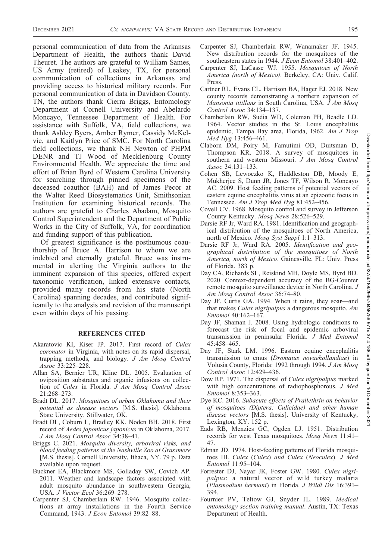personal communication of data from the Arkansas Department of Health, the authors thank David Theuret. The authors are grateful to William Sames, US Army (retired) of Leakey, TX, for personal communication of collections in Arkansas and providing access to historical military records. For personal communication of data in Davidson County, TN, the authors thank Cierra Briggs, Entomology Department at Cornell University and Abelardo Moncayo, Tennessee Department of Health. For assistance with Suffolk, VA, field collections, we thank Ashley Byers, Amber Rymer, Cassidy McKelvie, and Kaitlyn Price of SMC. For North Carolina field collections, we thank NH Newton of PHPM DENR and TJ Wood of Mecklenburg County Environmental Health. We appreciate the time and effort of Brian Byrd of Western Carolina University for searching through pinned specimens of the deceased coauthor (BAH) and of James Pecor at the Walter Reed Biosystematics Unit, Smithsonian Institution for examining historical records. The authors are grateful to Charles Abadam, Mosquito Control Superintendent and the Department of Public Works in the City of Suffolk, VA, for coordination and funding support of this publication.

Of greatest significance is the posthumous coauthorship of Bruce A. Harrison to whom we are indebted and eternally grateful. Bruce was instrumental in alerting the Virginia authors to the imminent expansion of this species, offered expert taxonomic verification, linked extensive contacts, provided many records from his state (North Carolina) spanning decades, and contributed significantly to the analysis and revision of the manuscript even within days of his passing.

#### REFERENCES CITED

- Akaratovic KI, Kiser JP. 2017. First record of Culex coronator in Virginia, with notes on its rapid dispersal, trapping methods, and biology. J Am Mosq Control Assoc 33:225–228.
- Allan SA, Bernier UR, Kline DL. 2005. Evaluation of oviposition substrates and organic infusions on collection of Culex in Florida. J Am Mosq Control Assoc 21:268–273.
- Bradt DL. 2017. Mosquitoes of urban Oklahoma and their potential as disease vectors [M.S. thesis]. Oklahoma State University, Stillwater, OK.
- Bradt DL, Coburn L, Bradley KK, Noden BH. 2018. First record of Aedes japonicus japonicus in Oklahoma, 2017. J Am Mosq Control Assoc 34:38–41.
- Briggs C. 2021. Mosquito diversity, arboviral risks, and blood feeding patterns at the Nashville Zoo at Grassmere [M.S. thesis]. Cornell University, Ithaca, NY. 79 p. Data available upon request.
- Buckner EA, Blackmore MS, Golladay SW, Covich AP. 2011. Weather and landscape factors associated with adult mosquito abundance in southwestern Georgia, USA. J Vector Ecol 36:269–278.
- Carpenter SJ, Chamberlain RW. 1946. Mosquito collections at army installations in the Fourth Service Command, 1943. J Econ Entomol 39:82–88.
- Carpenter SJ, Chamberlain RW, Wanamaker JF. 1945. New distribution records for the mosquitoes of the southeastern states in 1944. *J Econ Entomol* 38:401–402.
- Carpenter SJ, LaCasse WJ. 1955. Mosquitoes of North America (north of Mexico). Berkeley, CA: Univ. Calif. Press.
- Cartner RL, Evans CL, Harrison BA, Hager EJ. 2018. New county records demonstrating a northern expansion of Mansonia titillans in South Carolina, USA. J Am Mosq Control Assoc 34:134–137.
- Chamberlain RW, Sudia WD, Coleman PH, Beadle LD. 1964. Vector studies in the St. Louis encephalitis epidemic, Tampa Bay area, Florida, 1962. Am J Trop Med Hyg 13:456–461.
- Claborn DM, Poiry M, Famutimi OD, Duitsman D, Thompson KR. 2018. A survey of mosquitoes in southern and western Missouri. J Am Mosq Control Assoc 34:131–133.
- Cohen SB, Lewoczko K, Huddleston DB, Moody E, Mukherjee S, Dunn JR, Jones TF, Wilson R, Moncayo AC. 2009. Host feeding patterns of potential vectors of eastern equine encephalitis virus at an epizootic focus in Tennessee. Am J Trop Med Hyg 81:452-456.
- Covell CV. 1968. Mosquito control and survey in Jefferson County Kentucky. Mosq News 28:526–529.
- Darsie RF Jr, Ward RA. 1981. Identification and geographical distribution of the mosquitoes of North America, north of Mexico. Mosq Syst Suppl 1:1-313.
- Darsie RF Jr, Ward RA. 2005. Identification and geographical distribution of the mosquitoes of North America, north of Mexico. Gainesville, FL: Univ. Press of Florida. 383 p.
- Day CA, Richards SL, Reiskind MH, Doyle MS, Byrd BD. 2020. Context-dependent accuracy of the BG-Counter remote mosquito surveillance device in North Carolina. J Am Mosq Control Assoc 36:74–80.
- Day JF, Curtis GA. 1994. When it rains, they soar—and that makes Culex nigripalpus a dangerous mosquito. Am Entomol 40:162–167.
- Day JF, Shaman J. 2008. Using hydrologic conditions to forecast the risk of focal and epidemic arboviral transmission in peninsular Florida. J Med Entomol 45:458–465.
- Day JF, Stark LM. 1996. Eastern equine encephalitis transmission to emus (Dromaius novaehollandiae) in Volusia County, Florida: 1992 through 1994. J Am Mosq Control Assoc 12:429–436.
- Dow RP. 1971. The dispersal of Culex nigripalpus marked with high concentrations of radiophosphorous. J Med Entomol 8:353–363.
- Dye KC. 2016. Subacute effects of Prallethrin on behavior of mosquitoes (Diptera: Culicidae) and other human disease vectors [M.S. thesis]. University of Kentucky, Lexington, KY. 152 p.
- Eads RB, Menzies GC, Ogden LJ. 1951. Distribution records for west Texas mosquitoes. Mosq News 11:41– 47.
- Edman JD. 1974. Host-feeding patterns of Florida mosquitoes III. Culex (Culex) and Culex (Neoculex). J Med Entomol 11:95–104.
- Forrester DJ, Nayar JK, Foster GW. 1980. Culex nigripalpus: a natural vector of wild turkey malaria (Plasmodium hermani) in Florida. J Wildl Dis 16:391– 394.
- Fournier PV, Teltow GJ, Snyder JL. 1989. Medical entomology section training manual. Austin, TX: Texas Department of Health.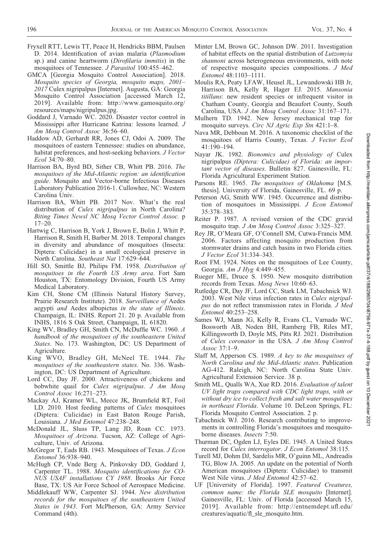- Fryxell RTT, Lewis TT, Peace H, Hendricks BBM, Paulsen D. 2014. Identification of avian malaria (Plasmodium sp.) and canine heartworm (Dirofilaria immitis) in the mosquitoes of Tennessee. *J Parasitol* 100:455-462.
- GMCA [Georgia Mosquito Control Association]. 2018. Mosquito species of Georgia, mosquito maps, 2001– 2017 Culex nigripalpus [Internet]. Augusta, GA: Georgia Mosquito Control Association [accessed March 12, 2019]. Available from: http://www.gamosquito.org/ resources/maps/nigripalpus.jpg.
- Goddard J, Varnado WC. 2020. Disaster vector control in Mississippi after Hurricane Katrina: lessons learned. J Am Mosq Control Assoc 36:56–60.
- Haddow AD, Gerhardt RR, Jones CJ, Odoi A. 2009. The mosquitoes of eastern Tennessee: studies on abundance, habitat preferences, and host-seeking behaviors. J Vector Ecol 34:70–80.
- Harrison BA, Byrd BD, Sither CB, Whitt PB. 2016. The mosquitoes of the Mid-Atlantic region: an identification guide. Mosquito and Vector-borne Infectious Diseases Laboratory Publication 2016-1. Cullowhee, NC: Western Carolina Univ.
- Harrison BA, Whitt PB. 2017 Nov. What's the real distribution of Culex nigripalpus in North Carolina? Biting Times Newsl NC Mosq Vector Control Assoc. p 17–20.
- Hartwig C, Harrison B, York J, Brown E, Bolin J, Whitt P, Harrison R, Smith H, Barber M. 2018. Temporal changes in diversity and abundance of mosquitoes (Insecta: Diptera: Culicidae) in a small ecological preserve in North Carolina. Southeast Nat 17:629–644.
- Hill SO, Smittle BJ, Philips FM. 1958. Distribution of mosquitoes in the Fourth US Army area. Fort Sam Houston, TX: Entomology Division, Fourth US Army Medical Laboratory.
- Kim CH, Stone CM (Illinois Natural History Survey, Prairie Research Institute). 2018. Surveillance of Aedes aegypti and Aedes albopictus in the state of Illinois. Champaign, IL: INHS. Report 21. 20 p. Available from INHS, 1816 S Oak Street, Champaign, IL 61820.
- King WV, Bradley GH, Smith CN, McDuffie WC. 1960. A handbook of the mosquitoes of the southeastern United States. No. 173. Washington, DC: US Department of Agriculture.
- King WVO, Bradley GH, McNeel TE. 1944. The mosquitoes of the southeastern states. No. 336. Washington, DC: US Department of Agriculture.
- Lord CC, Day JF. 2000. Attractiveness of chickens and bobwhite quail for Culex nigripalpus. J Am Mosq Control Assoc 16:271–273.
- Mackay AJ, Kramer WL, Meece JK, Brumfield RT, Foil LD. 2010. Host feeding patterns of Culex mosquitoes (Diptera: Culicidae) in East Baton Rouge Parish, Louisiana. J Med Entomol 47:238–248.
- McDonald JL, Sluss TP, Lang JD, Roan CC. 1973. Mosquitoes of Arizona. Tucson, AZ: College of Agriculture, Univ. of Arizona.
- McGregor T, Eads RB. 1943. Mosquitoes of Texas. J Econ Entomol 36:938–940.
- McHugh CP, Vnde Berg A, Pinkovsky DD, Goddard J, Carpenter TL. 1988. Mosquito identifications for CO-NUS USAF installations CY 1988. Brooks Air Force Base, TX: US Air Force School of Aerospace Medicine.
- Middlekauff WW, Carpenter SJ. 1944. New distribution records for the mosquitoes of the southeastern United States in 1943. Fort McPherson, GA: Army Service Command (4th).
- Minter LM, Brown GC, Johnson DW. 2011. Investigation of habitat effects on the spatial distribution of Lutzomyia shannoni across heterogeneous environments, with note of respective mosquito species compositions. J Med Entomol 48:1103–1111.
- Moulis RA, Peaty LFAW, Heusel JL, Lewandowski HB Jr, Harrison BA, Kelly R, Hager EJ. 2015. Mansonia titillans: new resident species or infrequent visitor in Chatham County, Georgia and Beaufort County, South Carolina, USA. J Am Mosq Control Assoc 31:167–171.
- Mulhern TD. 1942. New Jersey mechanical trap for mosquito surveys. Circ NJ Agric Exp Stn 421:1–8.
- Nava MR, Debboun M. 2016. A taxonomic checklist of the mosquitoes of Harris County, Texas. J Vector Ecol 41:190–194.
- Nayar JK. 1982. Bionomics and physiology of Culex nigripalpus (Diptera: Culicidae) of Florida: an important vector of diseases. Bulletin 827. Gainesville, FL: Florida Agricultural Experiment Station.
- Parsons RE. 1965. The mosquitoes of Oklahoma [M.S. thesis]. University of Florida, Gainesville, FL. 69 p.
- Peterson AG, Smith WW. 1945. Occurrence and distribution of mosquitoes in Mississippi. J Econ Entomol 35:378–383.
- Reiter P. 1987. A revised version of the CDC gravid mosquito trap. J Am Mosq Control Assoc 3:325–327.
- Rey JR, O'Meara GF, O'Connell SM, Cutwa-Francis MM. 2006. Factors affecting mosquito production from stormwater drains and catch basins in two Florida cities. J Vector Ecol 31:334–343.
- Root FM. 1924. Notes on the mosquitoes of Lee County, Georgia. Am J Hyg 4:449–455.
- Rueger ME, Druce S. 1950. New mosquito distribution records from Texas. Mosq News 10:60–63.
- Rutledge CR, Day JF, Lord CC, Stark LM, Tabachnick WJ. 2003. West Nile virus infection rates in Culex nigripalpus do not reflect transmission rates in Florida. J Med Entomol 40:253–258.
- Sames WJ, Mann JG, Kelly R, Evans CL, Varnado WC, Bosworth AB, Noden BH, Ramberg FB, Riles MT, Killingsworth D, Doyle MS, Pitts RJ. 2021. Distribution of Culex coronator in the USA. J Am Mosq Control Assoc 37:1–9.
- Slaff M, Apperson CS. 1989. A key to the mosquitoes of North Carolina and the Mid-Atlantic states. Publication AG-412. Raleigh, NC: North Carolina State Univ. Agricultural Extension Service. 38 p.
- Smith ML, Qualls WA, Xue RD. 2016. Evaluation of talent UV light traps compared with CDC light traps, with or without dry ice to collect fresh and salt water mosquitoes in northeast Florida. Volume 10. DeLeon Springs, FL: Florida Mosquito Control Association. 2 p.
- Tabachnick WJ. 2016. Research contributing to improvements in controlling Florida's mosquitoes and mosquitoborne diseases. Insects 7:50.
- Thurman DC, Ogden LJ, Eyles DE. 1945. A United States record for Culex interrogator. J Econ Entomol 38:115.
- Turell MJ, Dohm DJ, Sardelis MR, O'guinn ML, Andreadis TG, Blow JA. 2005. An update on the potential of North American mosquitoes (Diptera: Culicidae) to transmit West Nile virus. J Med Entomol 42:57–62.
- UF [University of Florida]. 1997. Featured Creatures, common name: the Florida SLE mosquito [Internet]. Gainesville, FL: Univ. of Florida [accessed March 15, 2019]. Available from: http://entnemdept.ufl.edu/ creatures/aquatic/fl\_sle\_mosquito.htm.